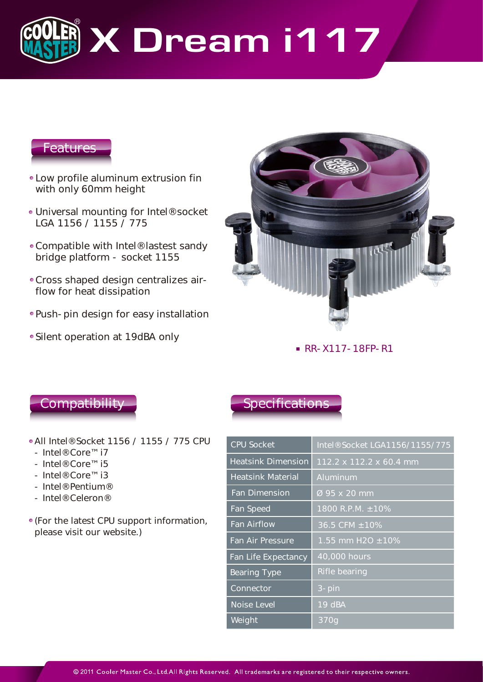

#### Features

- Low profile aluminum extrusion fin with only 60mm height
- Universal mounting for Intel® socket LGA 1156 / 1155 / 775
- Compatible with Intel® lastest sandy bridge platform - socket 1155
- Cross shaped design centralizes airflow for heat dissipation
- Push-pin design for easy installation
- Silent operation at 19dBA only



■ RR-X117-18FP-R1

## **Compatibility**

- All Intel® Socket 1156 / 1155 / 775 CPU
	- Intel® Core™ i7
	- Intel® Core™ i5
	- Intel® Core™ i3
	- Intel® Pentium®
	- Intel® Celeron®
- (For the latest CPU support information, please visit our website.)

### **Specifications**

| <b>CPU Socket</b>         | Intel <sup>®</sup> Socket LGA1156/1155/775 |
|---------------------------|--------------------------------------------|
| <b>Heatsink Dimension</b> | 112.2 x 112.2 x 60.4 mm                    |
| <b>Heatsink Material</b>  | Aluminum                                   |
| <b>Fan Dimension</b>      | Ø 95 x 20 mm                               |
| Fan Speed                 | 1800 R.P.M. $\pm 10\%$                     |
| <b>Fan Airflow</b>        | 36.5 CFM ±10%                              |
| <b>Fan Air Pressure</b>   | 1.55 mm H2O $\pm$ 10%                      |
| Fan Life Expectancy       | 40,000 hours                               |
| <b>Bearing Type</b>       | <b>Rifle bearing</b>                       |
| Connector                 | $3$ -pin                                   |
| <b>Noise Level</b>        | 19 dBA                                     |
| Weight                    | 370g                                       |